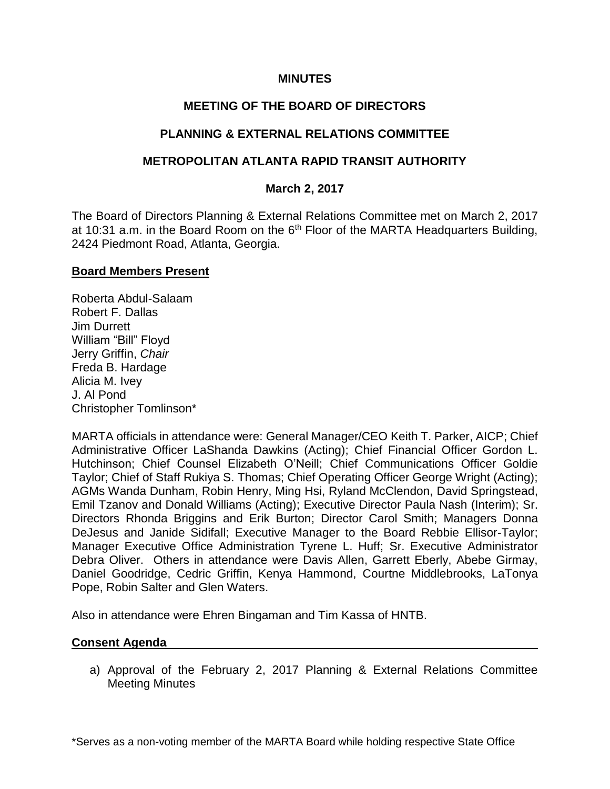### **MINUTES**

# **MEETING OF THE BOARD OF DIRECTORS**

### **PLANNING & EXTERNAL RELATIONS COMMITTEE**

### **METROPOLITAN ATLANTA RAPID TRANSIT AUTHORITY**

### **March 2, 2017**

The Board of Directors Planning & External Relations Committee met on March 2, 2017 at 10:31 a.m. in the Board Room on the  $6<sup>th</sup>$  Floor of the MARTA Headquarters Building, 2424 Piedmont Road, Atlanta, Georgia.

#### **Board Members Present**

Roberta Abdul-Salaam Robert F. Dallas Jim Durrett William "Bill" Floyd Jerry Griffin, *Chair* Freda B. Hardage Alicia M. Ivey J. Al Pond Christopher Tomlinson\*

MARTA officials in attendance were: General Manager/CEO Keith T. Parker, AICP; Chief Administrative Officer LaShanda Dawkins (Acting); Chief Financial Officer Gordon L. Hutchinson; Chief Counsel Elizabeth O'Neill; Chief Communications Officer Goldie Taylor; Chief of Staff Rukiya S. Thomas; Chief Operating Officer George Wright (Acting); AGMs Wanda Dunham, Robin Henry, Ming Hsi, Ryland McClendon, David Springstead, Emil Tzanov and Donald Williams (Acting); Executive Director Paula Nash (Interim); Sr. Directors Rhonda Briggins and Erik Burton; Director Carol Smith; Managers Donna DeJesus and Janide Sidifall; Executive Manager to the Board Rebbie Ellisor-Taylor; Manager Executive Office Administration Tyrene L. Huff; Sr. Executive Administrator Debra Oliver. Others in attendance were Davis Allen, Garrett Eberly, Abebe Girmay, Daniel Goodridge, Cedric Griffin, Kenya Hammond, Courtne Middlebrooks, LaTonya Pope, Robin Salter and Glen Waters.

Also in attendance were Ehren Bingaman and Tim Kassa of HNTB.

### **Consent Agenda**

a) Approval of the February 2, 2017 Planning & External Relations Committee Meeting Minutes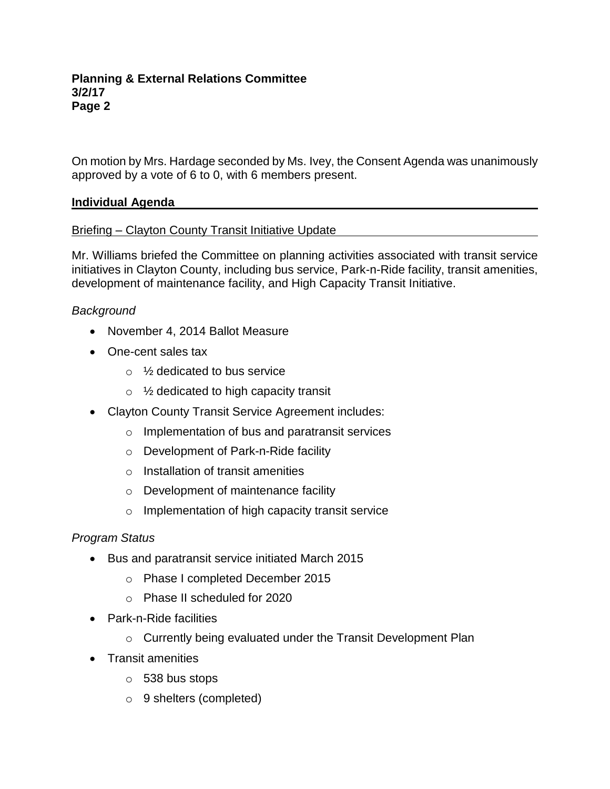On motion by Mrs. Hardage seconded by Ms. Ivey, the Consent Agenda was unanimously approved by a vote of 6 to 0, with 6 members present.

# **Individual Agenda**

# Briefing – Clayton County Transit Initiative Update

Mr. Williams briefed the Committee on planning activities associated with transit service initiatives in Clayton County, including bus service, Park-n-Ride facility, transit amenities, development of maintenance facility, and High Capacity Transit Initiative.

# *Background*

- November 4, 2014 Ballot Measure
- One-cent sales tax
	- $\circ$  % dedicated to bus service
	- $\circ$  1/<sub>2</sub> dedicated to high capacity transit
- Clayton County Transit Service Agreement includes:
	- o Implementation of bus and paratransit services
	- o Development of Park-n-Ride facility
	- o Installation of transit amenities
	- o Development of maintenance facility
	- o Implementation of high capacity transit service

### *Program Status*

- Bus and paratransit service initiated March 2015
	- o Phase I completed December 2015
	- o Phase II scheduled for 2020
- Park-n-Ride facilities
	- o Currently being evaluated under the Transit Development Plan
- Transit amenities
	- o 538 bus stops
	- o 9 shelters (completed)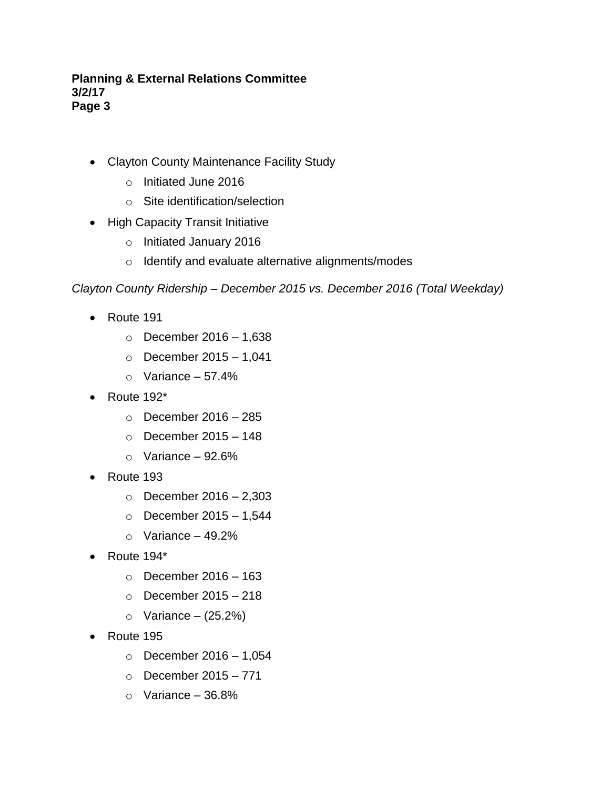- Clayton County Maintenance Facility Study
	- o Initiated June 2016
	- o Site identification/selection
- High Capacity Transit Initiative
	- o Initiated January 2016
	- o Identify and evaluate alternative alignments/modes

#### *Clayton County Ridership – December 2015 vs. December 2016 (Total Weekday)*

- Route 191
	- $\circ$  December 2016 1,638
	- $\circ$  December 2015 1,041
	- $\circ$  Variance 57.4%
- Route 192\*
	- $\circ$  December 2016 285
	- $\circ$  December 2015 148
	- $\circ$  Variance 92.6%
- Route 193
	- o December 2016 2,303
	- $\circ$  December 2015 1.544
	- $\circ$  Variance 49.2%
- Route 194\*
	- $\circ$  December 2016 163
	- $\circ$  December 2015 218
	- $\circ$  Variance (25.2%)
- Route 195
	- $\circ$  December 2016 1,054
	- $\circ$  December 2015 771
	- $\circ$  Variance 36.8%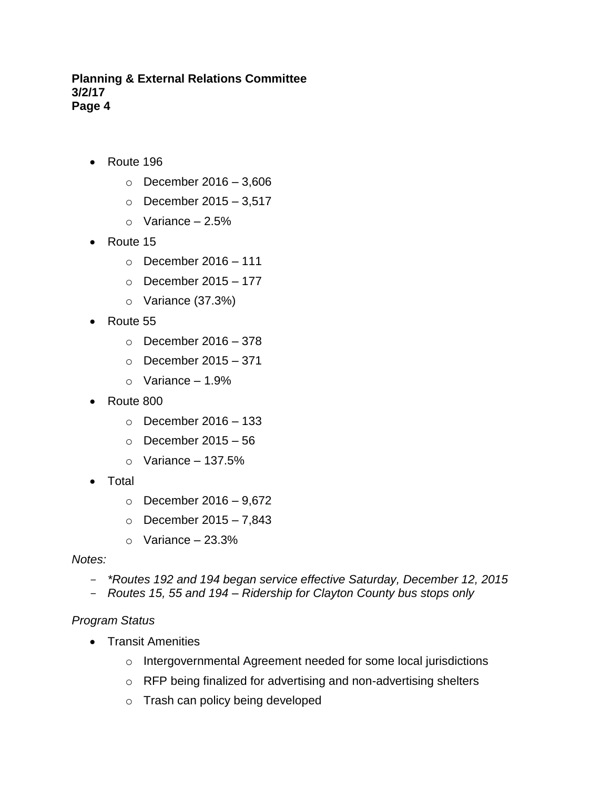- Route 196
	- $\circ$  December 2016 3,606
	- $\circ$  December 2015 3,517
	- $\circ$  Variance 2.5%
- Route 15
	- $\circ$  December 2016 111
	- $\circ$  December 2015 177
	- o Variance (37.3%)
- Route 55
	- $\circ$  December 2016 378
	- $\circ$  December 2015 371
	- $\circ$  Variance 1.9%
- Route 800
	- $\circ$  December 2016 133
	- $\circ$  December 2015 56
	- $\circ$  Variance 137.5%
- Total
	- $\circ$  December 2016 9,672
	- $\circ$  December 2015 7,843
	- $\circ$  Variance 23.3%

#### *Notes:*

- *\*Routes 192 and 194 began service effective Saturday, December 12, 2015*
- *Routes 15, 55 and 194 – Ridership for Clayton County bus stops only*

### *Program Status*

- Transit Amenities
	- o Intergovernmental Agreement needed for some local jurisdictions
	- o RFP being finalized for advertising and non-advertising shelters
	- o Trash can policy being developed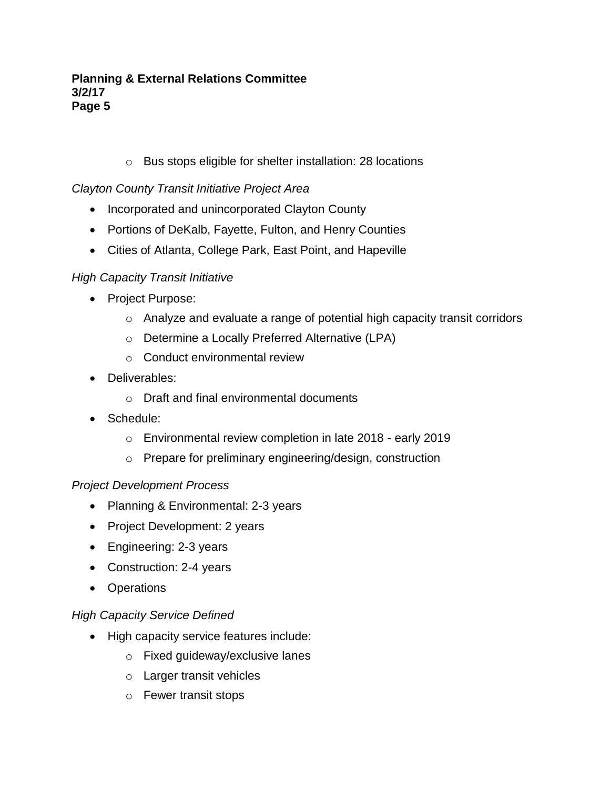o Bus stops eligible for shelter installation: 28 locations

# *Clayton County Transit Initiative Project Area*

- Incorporated and unincorporated Clayton County
- Portions of DeKalb, Fayette, Fulton, and Henry Counties
- Cities of Atlanta, College Park, East Point, and Hapeville

# *High Capacity Transit Initiative*

- Project Purpose:
	- o Analyze and evaluate a range of potential high capacity transit corridors
	- o Determine a Locally Preferred Alternative (LPA)
	- o Conduct environmental review
- Deliverables:
	- o Draft and final environmental documents
- Schedule:
	- o Environmental review completion in late 2018 early 2019
	- o Prepare for preliminary engineering/design, construction

# *Project Development Process*

- Planning & Environmental: 2-3 years
- Project Development: 2 years
- Engineering: 2-3 years
- Construction: 2-4 years
- Operations

# *High Capacity Service Defined*

- High capacity service features include:
	- o Fixed guideway/exclusive lanes
	- o Larger transit vehicles
	- o Fewer transit stops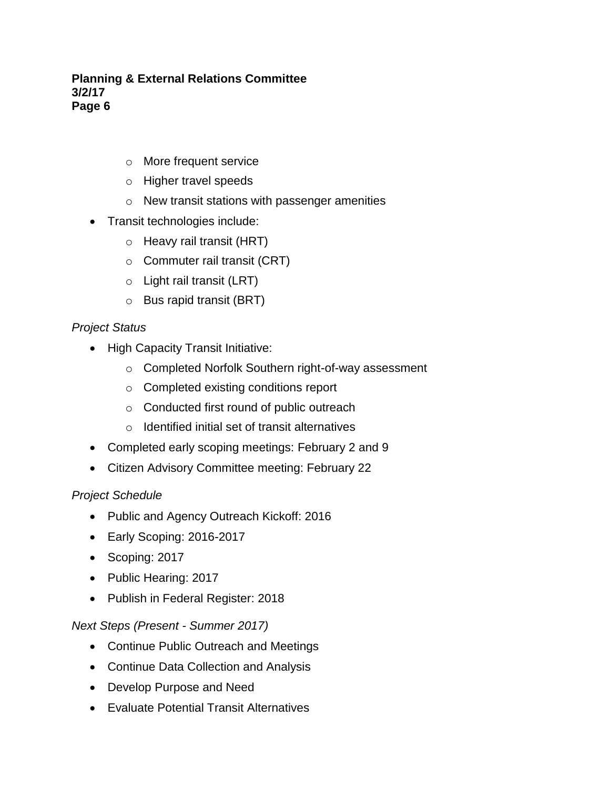- o More frequent service
- o Higher travel speeds
- o New transit stations with passenger amenities
- Transit technologies include:
	- o Heavy rail transit (HRT)
	- o Commuter rail transit (CRT)
	- o Light rail transit (LRT)
	- o Bus rapid transit (BRT)

# *Project Status*

- High Capacity Transit Initiative:
	- o Completed Norfolk Southern right-of-way assessment
	- o Completed existing conditions report
	- o Conducted first round of public outreach
	- o Identified initial set of transit alternatives
- Completed early scoping meetings: February 2 and 9
- Citizen Advisory Committee meeting: February 22

### *Project Schedule*

- Public and Agency Outreach Kickoff: 2016
- Early Scoping: 2016-2017
- Scoping: 2017
- Public Hearing: 2017
- Publish in Federal Register: 2018

### *Next Steps (Present - Summer 2017)*

- Continue Public Outreach and Meetings
- Continue Data Collection and Analysis
- Develop Purpose and Need
- Evaluate Potential Transit Alternatives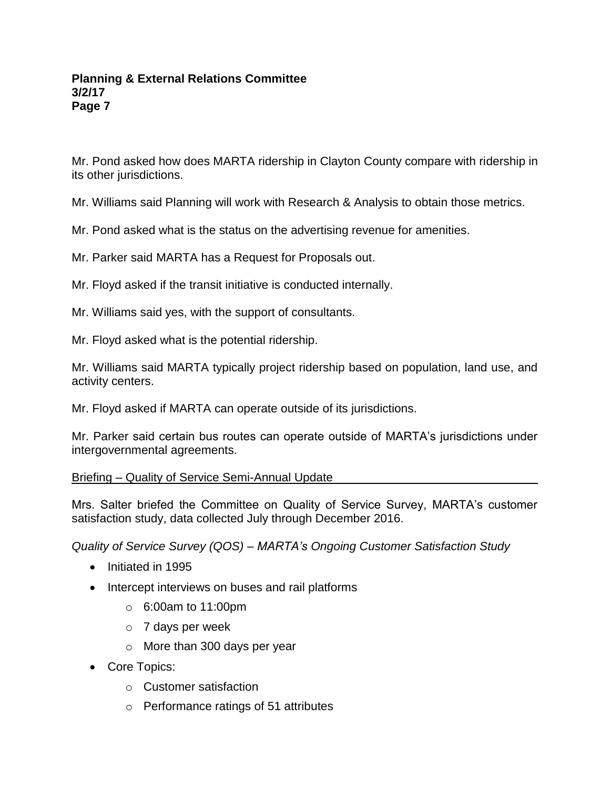Mr. Pond asked how does MARTA ridership in Clayton County compare with ridership in its other jurisdictions.

Mr. Williams said Planning will work with Research & Analysis to obtain those metrics.

Mr. Pond asked what is the status on the advertising revenue for amenities.

Mr. Parker said MARTA has a Request for Proposals out.

Mr. Floyd asked if the transit initiative is conducted internally.

Mr. Williams said yes, with the support of consultants.

Mr. Floyd asked what is the potential ridership.

Mr. Williams said MARTA typically project ridership based on population, land use, and activity centers.

Mr. Floyd asked if MARTA can operate outside of its jurisdictions.

Mr. Parker said certain bus routes can operate outside of MARTA's jurisdictions under intergovernmental agreements.

### Briefing – Quality of Service Semi-Annual Update

Mrs. Salter briefed the Committee on Quality of Service Survey, MARTA's customer satisfaction study, data collected July through December 2016.

*Quality of Service Survey (QOS) – MARTA's Ongoing Customer Satisfaction Study*

- Initiated in 1995
- Intercept interviews on buses and rail platforms
	- o 6:00am to 11:00pm
	- $\circ$  7 days per week
	- o More than 300 days per year
- Core Topics:
	- o Customer satisfaction
	- o Performance ratings of 51 attributes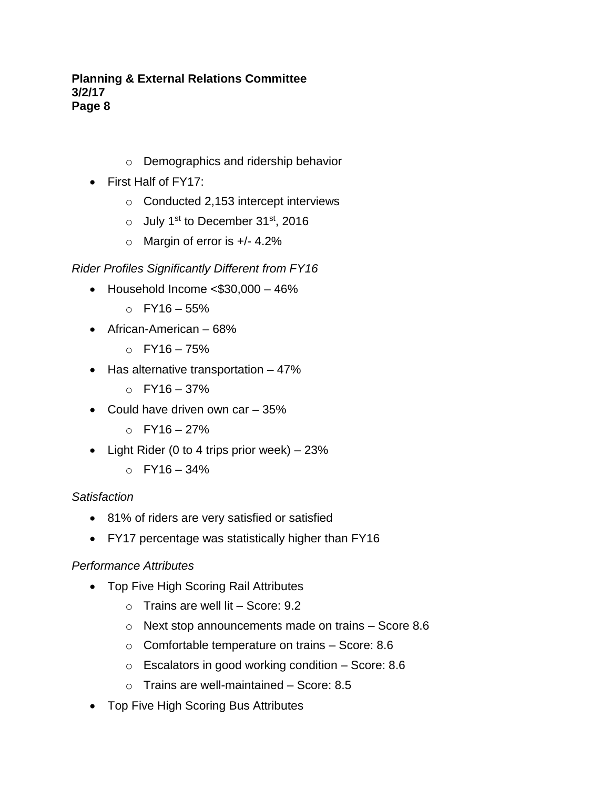- o Demographics and ridership behavior
- First Half of FY17:
	- o Conducted 2,153 intercept interviews
	- o July 1st to December 31st, 2016
	- $\circ$  Margin of error is  $+/- 4.2\%$

# *Rider Profiles Significantly Different from FY16*

- Household Income <\$30,000 46%
	- $O$  FY16 55%
- African-American 68%
	- $O$  FY16 75%
- Has alternative transportation 47%
	- $O$  FY16 37%
- Could have driven own car 35%
	- $O$  FY16 27%
- Light Rider (0 to 4 trips prior week)  $-23%$ 
	- $O$  FY16 34%

# *Satisfaction*

- 81% of riders are very satisfied or satisfied
- FY17 percentage was statistically higher than FY16

# *Performance Attributes*

- Top Five High Scoring Rail Attributes
	- $\circ$  Trains are well lit Score: 9.2
	- o Next stop announcements made on trains Score 8.6
	- o Comfortable temperature on trains Score: 8.6
	- $\circ$  Escalators in good working condition Score: 8.6
	- o Trains are well-maintained Score: 8.5
- Top Five High Scoring Bus Attributes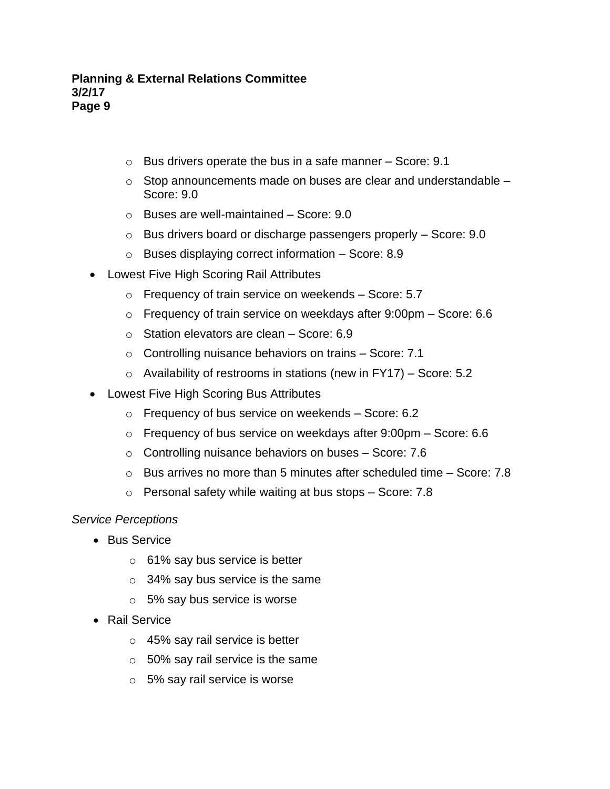- $\circ$  Bus drivers operate the bus in a safe manner Score: 9.1
- $\circ$  Stop announcements made on buses are clear and understandable  $-$ Score: 9.0
- o Buses are well-maintained Score: 9.0
- $\circ$  Bus drivers board or discharge passengers properly Score: 9.0
- o Buses displaying correct information Score: 8.9
- Lowest Five High Scoring Rail Attributes
	- o Frequency of train service on weekends Score: 5.7
	- o Frequency of train service on weekdays after 9:00pm Score: 6.6
	- o Station elevators are clean Score: 6.9
	- o Controlling nuisance behaviors on trains Score: 7.1
	- $\circ$  Availability of restrooms in stations (new in FY17) Score: 5.2
- Lowest Five High Scoring Bus Attributes
	- o Frequency of bus service on weekends Score: 6.2
	- o Frequency of bus service on weekdays after 9:00pm Score: 6.6
	- o Controlling nuisance behaviors on buses Score: 7.6
	- $\circ$  Bus arrives no more than 5 minutes after scheduled time Score: 7.8
	- o Personal safety while waiting at bus stops Score: 7.8

### *Service Perceptions*

- Bus Service
	- o 61% say bus service is better
	- $\circ$  34% say bus service is the same
	- o 5% say bus service is worse
- Rail Service
	- o 45% say rail service is better
	- $\circ$  50% say rail service is the same
	- o 5% say rail service is worse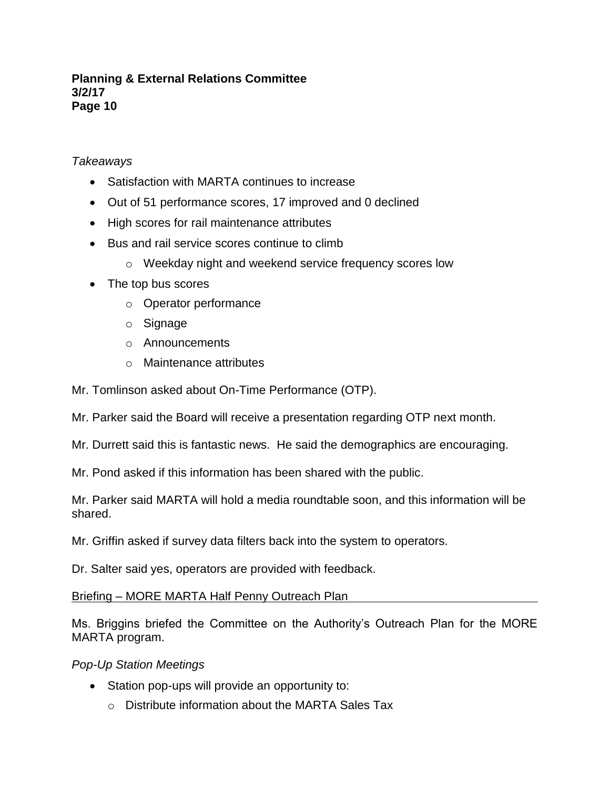# *Takeaways*

- Satisfaction with MARTA continues to increase
- Out of 51 performance scores, 17 improved and 0 declined
- High scores for rail maintenance attributes
- Bus and rail service scores continue to climb
	- o Weekday night and weekend service frequency scores low
- The top bus scores
	- o Operator performance
	- o Signage
	- o Announcements
	- o Maintenance attributes

Mr. Tomlinson asked about On-Time Performance (OTP).

Mr. Parker said the Board will receive a presentation regarding OTP next month.

- Mr. Durrett said this is fantastic news. He said the demographics are encouraging.
- Mr. Pond asked if this information has been shared with the public.

Mr. Parker said MARTA will hold a media roundtable soon, and this information will be shared.

Mr. Griffin asked if survey data filters back into the system to operators.

Dr. Salter said yes, operators are provided with feedback.

Briefing – MORE MARTA Half Penny Outreach Plan

Ms. Briggins briefed the Committee on the Authority's Outreach Plan for the MORE MARTA program.

### *Pop-Up Station Meetings*

- Station pop-ups will provide an opportunity to:
	- $\circ$  Distribute information about the MARTA Sales Tax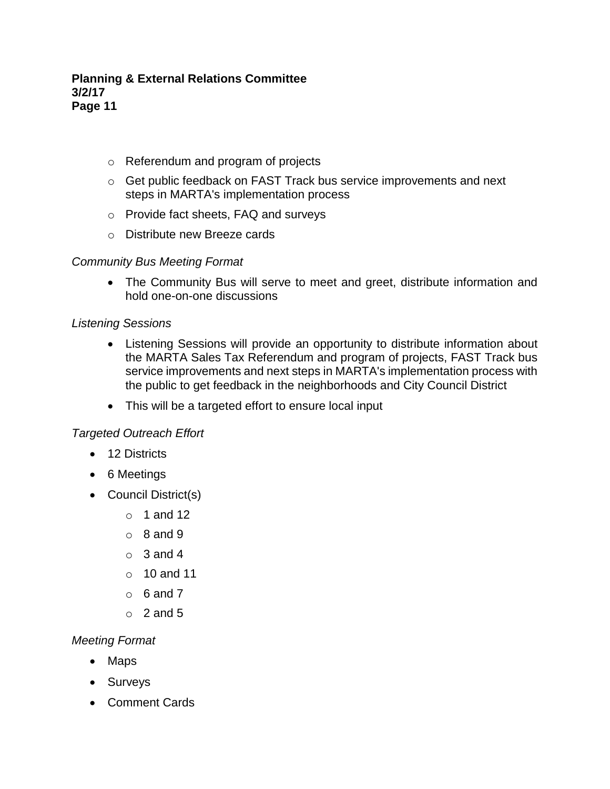- o Referendum and program of projects
- o Get public feedback on FAST Track bus service improvements and next steps in MARTA's implementation process
- o Provide fact sheets, FAQ and surveys
- o Distribute new Breeze cards

# *Community Bus Meeting Format*

• The Community Bus will serve to meet and greet, distribute information and hold one-on-one discussions

# *Listening Sessions*

- Listening Sessions will provide an opportunity to distribute information about the MARTA Sales Tax Referendum and program of projects, FAST Track bus service improvements and next steps in MARTA's implementation process with the public to get feedback in the neighborhoods and City Council District
- This will be a targeted effort to ensure local input

### *Targeted Outreach Effort*

- 12 Districts
- 6 Meetings
- Council District(s)
	- $\circ$  1 and 12
	- $\circ$  8 and 9
	- $\circ$  3 and 4
	- o 10 and 11
	- $\circ$  6 and 7
	- $\circ$  2 and 5

# *Meeting Format*

- Maps
- Surveys
- Comment Cards